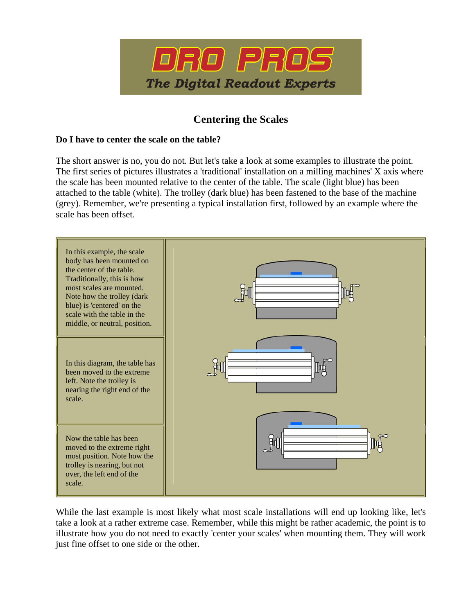

## **Centering the Scales**

## **Do I have to center the scale on the table?**

The short answer is no, you do not. But let's take a look at some examples to illustrate the point. The first series of pictures illustrates a 'traditional' installation on a milling machines' X axis where the scale has been mounted relative to the center of the table. The scale (light blue) has been attached to the table (white). The trolley (dark blue) has been fastened to the base of the machine (grey). Remember, we're presenting a typical installation first, followed by an example where the scale has been offset.



While the last example is most likely what most scale installations will end up looking like, let's take a look at a rather extreme case. Remember, while this might be rather academic, the point is to illustrate how you do not need to exactly 'center your scales' when mounting them. They will work just fine offset to one side or the other.